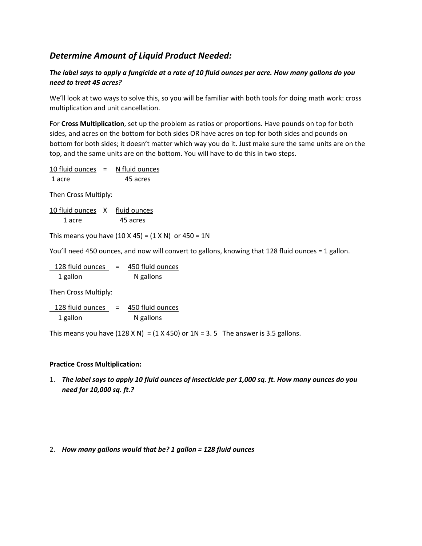# *Determine Amount of Liquid Product Needed:*

## *The label says to apply a fungicide at a rate of 10 fluid ounces per acre. How many gallons do you need to treat 45 acres?*

We'll look at two ways to solve this, so you will be familiar with both tools for doing math work: cross multiplication and unit cancellation.

For **Cross Multiplication**, set up the problem as ratios or proportions. Have pounds on top for both sides, and acres on the bottom for both sides OR have acres on top for both sides and pounds on bottom for both sides; it doesn't matter which way you do it. Just make sure the same units are on the top, and the same units are on the bottom. You will have to do this in two steps.

| 10 fluid ounces | $=$ | N fluid ounces |
|-----------------|-----|----------------|
| 1 acre          |     | 45 acres       |

Then Cross Multiply:

| 10 fluid ounces X | fluid ounces |
|-------------------|--------------|
| 1 acre            | 45 acres     |

This means you have  $(10 \times 45) = (1 \times N)$  or  $450 = 1N$ 

You'll need 450 ounces, and now will convert to gallons, knowing that 128 fluid ounces = 1 gallon.

| 128 fluid ounces | = | 450 fluid ounces |
|------------------|---|------------------|
| 1 gallon         |   | N gallons        |

Then Cross Multiply:

128 fluid ounces = 450 fluid ounces 1 gallon N gallons

This means you have  $(128 \times N) = (1 \times 450)$  or  $1N = 3.5$  The answer is 3.5 gallons.

### **Practice Cross Multiplication:**

1. *The label says to apply 10 fluid ounces of insecticide per 1,000 sq. ft. How many ounces do you need for 10,000 sq. ft.?*

#### 2. *How many gallons would that be? 1 gallon = 128 fluid ounces*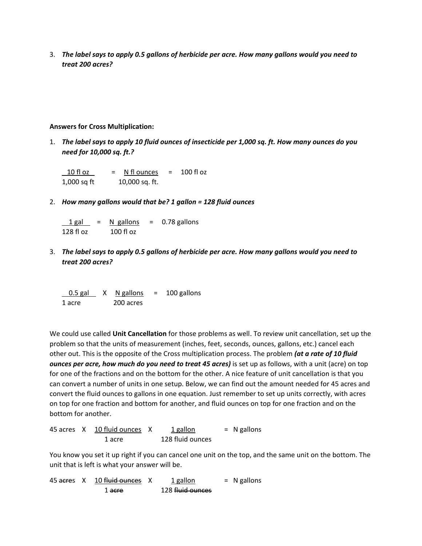3. *The label says to apply 0.5 gallons of herbicide per acre. How many gallons would you need to treat 200 acres?*

#### **Answers for Cross Multiplication:**

1. *The label says to apply 10 fluid ounces of insecticide per 1,000 sq. ft. How many ounces do you need for 10,000 sq. ft.?*

 $10$  fl oz  $=$  N fl ounces  $=$  100 fl oz 1,000 sq ft 10,000 sq. ft.

2. *How many gallons would that be? 1 gallon = 128 fluid ounces*

 $1 gal$  = N gallons = 0.78 gallons 128 fl oz 100 fl oz

3. *The label says to apply 0.5 gallons of herbicide per acre. How many gallons would you need to treat 200 acres?*

| $0.5$ gal | N gallons | $=$ | 100 gallons |
|-----------|-----------|-----|-------------|
| 1 acre    | 200 acres |     |             |

We could use called **Unit Cancellation** for those problems as well. To review unit cancellation, set up the problem so that the units of measurement (inches, feet, seconds, ounces, gallons, etc.) cancel each other out. This is the opposite of the Cross multiplication process. The problem *(at a rate of 10 fluid ounces per acre, how much do you need to treat 45 acres)* is set up as follows, with a unit (acre) on top for one of the fractions and on the bottom for the other. A nice feature of unit cancellation is that you can convert a number of units in one setup. Below, we can find out the amount needed for 45 acres and convert the fluid ounces to gallons in one equation. Just remember to set up units correctly, with acres on top for one fraction and bottom for another, and fluid ounces on top for one fraction and on the bottom for another.

45 acres  $X$  10 fluid ounces  $X$  1 gallon  $= N$  gallons 1 acre 128 fluid ounces

You know you set it up right if you can cancel one unit on the top, and the same unit on the bottom. The unit that is left is what your answer will be.

45 acres  $X$  10 fluid ounces  $X$  1 gallon = N gallons 1 acre 128 fluid ounces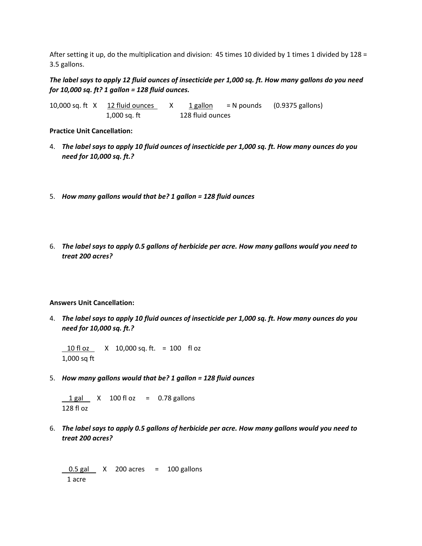After setting it up, do the multiplication and division: 45 times 10 divided by 1 times 1 divided by 128 = 3.5 gallons.

### *The label says to apply 12 fluid ounces of insecticide per 1,000 sq. ft. How many gallons do you need for 10,000 sq. ft? 1 gallon = 128 fluid ounces.*

10,000 sq. ft  $X$  12 fluid ounces  $X$  1 gallon = N pounds (0.9375 gallons) 1,000 sq. ft 128 fluid ounces

**Practice Unit Cancellation:**

- 4. *The label says to apply 10 fluid ounces of insecticide per 1,000 sq. ft. How many ounces do you need for 10,000 sq. ft.?*
- 5. *How many gallons would that be? 1 gallon = 128 fluid ounces*
- 6. *The label says to apply 0.5 gallons of herbicide per acre. How many gallons would you need to treat 200 acres?*

#### **Answers Unit Cancellation:**

4. *The label says to apply 10 fluid ounces of insecticide per 1,000 sq. ft. How many ounces do you need for 10,000 sq. ft.?*

 10 fl oz X 10,000 sq. ft. = 100 fl oz 1,000 sq ft

5. *How many gallons would that be? 1 gallon = 128 fluid ounces*

 $1 gal$  X 100 fl oz = 0.78 gallons 128 fl oz

6. *The label says to apply 0.5 gallons of herbicide per acre. How many gallons would you need to treat 200 acres?*

 $0.5$  gal  $\times$  200 acres = 100 gallons 1 acre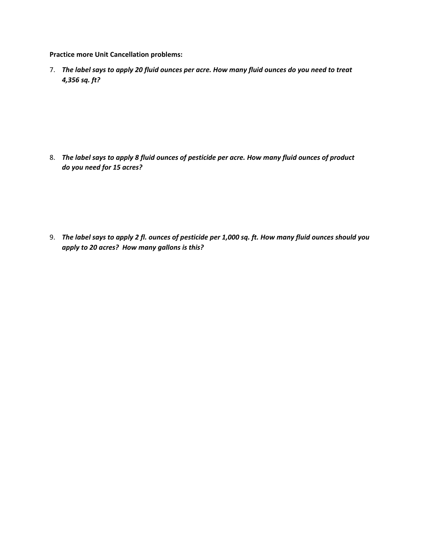**Practice more Unit Cancellation problems:**

7. *The label says to apply 20 fluid ounces per acre. How many fluid ounces do you need to treat 4,356 sq. ft?*

8. *The label says to apply 8 fluid ounces of pesticide per acre. How many fluid ounces of product do you need for 15 acres?*

9. *The label says to apply 2 fl. ounces of pesticide per 1,000 sq. ft. How many fluid ounces should you apply to 20 acres? How many gallons is this?*